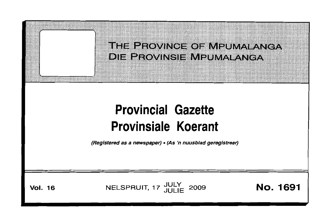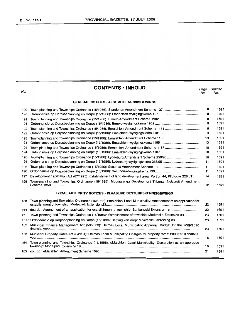|                                    | ٠<br>n, |
|------------------------------------|---------|
| $\sim$<br>$\overline{\phantom{a}}$ | ۰,      |

# **CONTENTS ·INHOUD**

*Page Gazette* No. No.

## **GENERAL NOTICES· ALGEMENE KENNISGEWINGS**

| 190 |                                                                                                              | 8  | 1691 |
|-----|--------------------------------------------------------------------------------------------------------------|----|------|
| 190 |                                                                                                              | 8  | 1691 |
| 191 |                                                                                                              | 8  | 1691 |
| 191 |                                                                                                              |    | 1691 |
| 192 |                                                                                                              | 9  | 1691 |
| 192 |                                                                                                              | 9  | 1691 |
| 193 |                                                                                                              | 13 | 1691 |
| 193 |                                                                                                              | 13 | 1691 |
| 194 |                                                                                                              | 10 | 1691 |
| 194 |                                                                                                              | 10 | 1691 |
| 195 | Town-planning and Townships Ordinance (15/1986): Lydenburg Amendment Scheme 256/95                           | 10 | 1691 |
| 195 |                                                                                                              | 11 | 1691 |
| 196 |                                                                                                              | 11 | 1691 |
| 196 |                                                                                                              | 11 | 1691 |
| 197 | Development Facilitation Act (67/1995): Establishment of land development area: Portion 44, Klipkopje 228 JT | 14 | 1691 |
| 198 | Town-planning and Townships Ordinance (15/1986): Mpumalanga Development Tribunal: Nelspruit Amendment        | 12 | 1691 |

## **LOCAL AUTHORITY NOTICES· PlAASLIKE BESTUURSKENNISGEWINGS**

|      | 153 Town-planning and Townships Ordinance (15/1986): Emalahleni Local Municipality: Amendment of an application for   | 22 | 1691 |
|------|-----------------------------------------------------------------------------------------------------------------------|----|------|
|      |                                                                                                                       | 22 | 1691 |
| 161. | Town-planning and Townships Ordinance (15/1986): Establishment of township: Modimolle Extension 33                    | 23 | 1691 |
|      | 161 Ordonnansie op Dorpsbeplanning en Dorpe (15/1986): Stigting van dorp: Modimolle-uitbreiding 33                    | 23 | 1691 |
| 162  | Municipal Finance Management Act (56/2003): Delmas Local Municipality: Approval: Budget for the 2009/2010             | 23 | 1691 |
|      | 163 Municipal Property Rates Act (6/2004): Delmas Local Municipality: Charges for property rates: 2009/2010 financial | 18 | 1691 |
| 164  | Town-planning and Townships Ordinance (15/1986): eMalahleni Local Municipality: Declaration as an approved            | 19 | 1691 |
| 165. |                                                                                                                       | 21 | 1691 |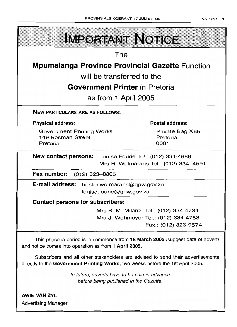| <b>IMPORTANT NOTICE</b>                                                                                                                                            |                                     |  |
|--------------------------------------------------------------------------------------------------------------------------------------------------------------------|-------------------------------------|--|
| The                                                                                                                                                                |                                     |  |
| <b>Mpumalanga Province Provincial Gazette Function</b>                                                                                                             |                                     |  |
| will be transferred to the                                                                                                                                         |                                     |  |
| <b>Government Printer</b> in Pretoria                                                                                                                              |                                     |  |
| as from 1 April 2005                                                                                                                                               |                                     |  |
| <b>NEW PARTICULARS ARE AS FOLLOWS:</b>                                                                                                                             |                                     |  |
| <b>Physical address:</b>                                                                                                                                           | <b>Postal address:</b>              |  |
| <b>Government Printing Works</b><br>149 Bosman Street<br>Pretoria                                                                                                  | Private Bag X85<br>Pretoria<br>0001 |  |
| <b>New contact persons:</b> Louise Fourie Tel.: (012) 334-4686<br>Mrs H. Wolmarans Tel.: (012) 334-4591                                                            |                                     |  |
| Fax number: (012) 323-8805                                                                                                                                         |                                     |  |
| E-mail address: hester.wolmarans@gpw.gov.za<br>louise.fourie@gpw.gov.za                                                                                            |                                     |  |
| <b>Contact persons for subscribers:</b>                                                                                                                            |                                     |  |
| Mrs S. M. Milanzi Tel.: (012) 334-4734                                                                                                                             |                                     |  |
| Mrs J. Wehmeyer Tel.: (012) 334-4753                                                                                                                               | Fax.: (012) 323-9574                |  |
| This phase-in period is to commence from 18 March 2005 (suggest date of advert)<br>and notice comes into operation as from 1 April 2005.                           |                                     |  |
| Subscribers and all other stakeholders are advised to send their advertisements<br>directly to the Government Printing Works, two weeks before the 1st April 2005. |                                     |  |
| In future, adverts have to be paid in advance<br>before being published in the Gazette.                                                                            |                                     |  |
| <b>AWIE VAN ZYL</b><br><b>Advertising Manager</b>                                                                                                                  |                                     |  |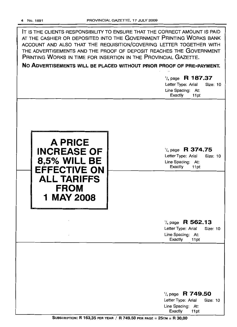| IT IS THE CLIENTS RESPONSIBILITY TO ENSURE THAT THE CORRECT AMOUNT IS PAID<br>AT THE CASHIER OR DEPOSITED INTO THE GOVERNMENT PRINTING WORKS BANK<br>ACCOUNT AND ALSO THAT THE REQUISITION/COVERING LETTER TOGETHER WITH<br>THE ADVERTISEMENTS AND THE PROOF OF DEPOSIT REACHES THE GOVERNMENT<br>PRINTING WORKS IN TIME FOR INSERTION IN THE PROVINCIAL GAZETTE.<br>NO ADVERTISEMENTS WILL BE PLACED WITHOUT PRIOR PROOF OF PRE-PAYMENT.<br>$\frac{1}{4}$ page R 187.37<br>Letter Type: Arial<br><b>Size: 10</b><br>Line Spacing: At:<br>Exactly<br>11pt |                                                                                                              |  |
|-----------------------------------------------------------------------------------------------------------------------------------------------------------------------------------------------------------------------------------------------------------------------------------------------------------------------------------------------------------------------------------------------------------------------------------------------------------------------------------------------------------------------------------------------------------|--------------------------------------------------------------------------------------------------------------|--|
| <b>A PRICE</b><br><b>INCREASE OF</b><br><b>8,5% WILL BE</b><br><b>EFFECTIVE ON</b><br><b>ALL TARIFFS</b><br><b>FROM</b>                                                                                                                                                                                                                                                                                                                                                                                                                                   | R 374.75<br>$\frac{1}{4}$ page<br>Letter Type: Arial<br>Size: 10<br>Line Spacing: At:<br>Exactly<br>11pt     |  |
| 1 MAY 2008                                                                                                                                                                                                                                                                                                                                                                                                                                                                                                                                                | $\frac{1}{4}$ page R 562.13<br>Letter Type: Arial<br><b>Size: 10</b><br>Line Spacing: At:<br>Exactly<br>11pt |  |
|                                                                                                                                                                                                                                                                                                                                                                                                                                                                                                                                                           | $\frac{1}{4}$ page R 749.50<br>Letter Type: Arial<br>Size: 10<br>Line Spacing: At:<br>Exactly<br>11pt        |  |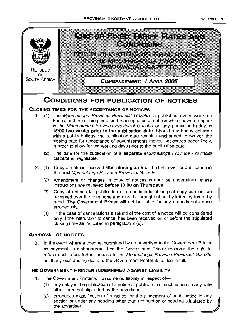

(2) erroneous classification of a notice, or the placement of such notice in any section or under any heading other than the section or heading stipulated by the advertiser;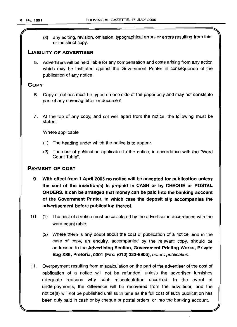(3) any editing, revision, omission, typographical errors or errors resulting from faint or indistinct copy.

## LIABILITY OF ADVERTISER

5. Advertisers will be held liable for any compensation and costs arising from any action which may be instituted against the Government Printer in consequence of the publication of any notice.

## **COPY**

- 6. Copy of notices must be typed on one side of the paper only and may not constitute part of any covering letter or document.
- 7. At the top of any copy, and set well apart from the notice, the following must be stated:

Where applicable

- (1) The heading under which the notice is to appear.
- (2) The cost of publication applicable to the notice, in accordance with the 'Word Count Table".

## PAYMENT OF COST

- 9. With effect from 1 April 2005 no notice will be accepted for publication unless the cost of the insertion(s) is prepaid in CASH or by CHEQUE or POSTAL ORDERS. It can be arranged that money can be paid into the banking account of the Government Printer, in which case the deposit slip accompanies the advertisement before publication thereof.
- 10. (1) The cost of a notice must be calculated by the advertiser in accordance with the word count table.
	- (2) Where there is any doubt about the cost of publication of a notice, and in the case of copy, an enquiry, accompanied by the relevant copy, should be addressed to the Advertising Section, Government Printing Works, Private Bag X85, Pretoria, 0001 [Fax: (012) 323-8805], before publication.
- 11 . Overpayment resulting from miscalculation on the part of the advertiser of the cost of publication of a notice will not be refunded, unless the advertiser furnishes adequate reasons why such miscalculation occurred. In the event of underpayments, the difference will be recovered from the advertiser, and the notice(s) will not be published until such time as the full cost of such publication has been duly paid in cash or by cheque or postal orders, or into the banking account.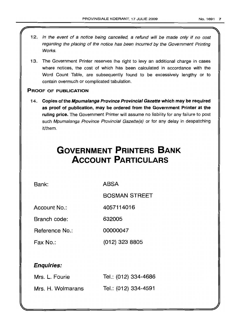- 12. In the event of a notice being cancelled, a refund will be made only if no cost regarding the placing of the notice has been incurred by the Government Printing Works.
- 13. The Government Printer reserves the right to levy an additional charge in cases where notices, the cost of which has been calculated in accordance with the Word Count Table, are subsequently found to be excessively lengthy or to contain overmuch or complicated tabulation.

## PROOF OF PUBLICATION

14. Copies of the Mpumalanga Province Provincial Gazette which may be required as proof of publication, may be ordered from the Government Printer at the ruling price. The Government Printer will assume no liability for any failure to post such Mpumalanga Province Provincial Gazette(s) or for any delay in despatching it/them.

# **GOVERNMENT PRINTERS BANK ACCOUNT PARTICULARS**

Bank: ABSA

BOSMAN STREET

Account No.: 4057114016

Branch code: 632005

Reference No.: 00000047

Fax No.: (012) 323 8805

# Enquiries:

| Mrs. L. Fourie    | Tel.: (012) 334-4686 |
|-------------------|----------------------|
| Mrs. H. Wolmarans | Tel.: (012) 334-4591 |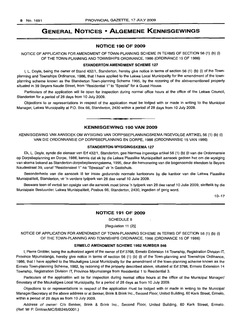# **GENERAL NOTICES • ALGEMENE KENNISGEWINGS**

## **NOTICE 190 OF 2009**

NOTICE OF APPLICATION FOR AMENDMENT OF TOWN-PLANNING SCHEME IN TERMS OF SECTION 56 (1) (b) (i) OF THE TOWN-PLANNING AND TOWNSHIPS ORDINANCE, 1986 (ORDINANCE 15 OF 1986)

## **STANDERTON AMENDMENT SCHEME 127**

I, L. Doyle, being the owner of Stand 432/1, Standerton, hereby give notice in terms of section 56 (1) (b) (i) of the Townplanning and Townships Ordinance, 1986, that I have applied to the Lekwa Local Municipality for the amendment of the townplanning scheme known as the Standerton Town-planning Scheme 1995, by the rezoning of the abovementioned property situated in 39 Beyers Naude Street, from "Residential 1" to "Special" for a Guest House.

Particulars of the application will lie open for inspection during normal office hours at the office of the Lekwa Council, Standerton for a period of 28 days from 10 July 2009.

Objections to or representations in respect of the application must be lodged with or made in writing to the Municipal Manager, Lekwa Municipality at P.O. Box 66, Standerton, 2430 within a period of 28 days from 10 July 2009.

**KENNISGEWING 190 VAN 2009**

**• •**

KENNISGEWING VAN AANSOEK OM WYSIGING VAN DORPSBEPLANNINGSKEMA INGEVOLGE ARTIKEL 56 (1) (b) (i) VAN DIE ORDONNANSIE OP DORPSBEPLANNING EN DORPE, 1986 (ORDONNANSIE 15 VAN 1986)

#### **STANDERTON·WYSIGINGSKEMA 127**

Ek, L. Doyle, synde die eienaar van Erf 432/1, Standerton, gee hiermee ingevolge artikel 56 (1) (b) (i) van die Ordonnansie op Dorpsbeplanning en Dorpe, 1986, kennis dat ek by die Lekwa Plaaslike Munisipaliteit aansoek gedoen het om die wysiging van skema bekend as Standerton-dorpsbeplanningskema, 1995, deur die hersonering van die bogenoemde eiendom te Beyers Naudestraat 39, vanaf "Residensieel 1" na "Spesiaal" vir 'n Gastehuis.

Besonderhede van die aansoek lê ter insae gedurende normale kantoorure by die kantoor van die Lekwa Plaaslike Munisipaliteit, Standerton, vir 'n verdere tydperk van 28 dae vanaf 10 Julie 2009.

Besware teen of vertoë ten opsigte van die aansoek moet binne 'n tydperk van 28 dae vanaf 10 Julie 2009, skriftelik by die Munisipale Bestuurder, Lekwa Munisipaliteit, Posbus 66, Standerton, 2430, ingedien of gerig word.

10-17

### **NOTICE 191 OF 2009**

SCHEDULE 8

[Regulation 11 (2)]

NOTICE OF APPLICATION FOR AMENDMENT OF TOWN-PLANNING SCHEME IN TERMS OF SECTION 56 (1) (b) (i) OF THE TOWN-PLANNING AND TOWNSHIPS ORDINANCE, 1986 (ORDINANCE 15 OF 1986)

## **ERMELO AMENDMENT SCHEME 1982 NUMBER 546**

I, Pierre Grobler, being the authorized agent of the owner of Erf 3768, Ermelo Extension 14 Township, Registration Division IT, Province Mpumalanga, hereby give notice in terms of section 56 (1) (b) (i) of the Town-planning and Townships Ordinance, 1986, that I have applied to the Msukaligwa Local Municipality for the amendment of the town-planning scheme known as the Ermelo Town-planning Scheme, 1982, by rezoning of the property described above, situated at Erf 3768, Ermelo Extension 14 Township, Registration Division IT, Province Mpumalanga from Residential 1 to Residential 3.

Particulars of the application will lie for inspection during normal office hours at the office of the Municipal Manager/ Secretary of the Msukaligwa Local Municipality, for a period of 28 days as from 10 July 2009.

Objections to or representations in respect of the application must be lodged with or made in writing to the Municipal Manager/Secretary at the above address or at Bekker, Brink & Brink Inc., Second Floor, United Building, 60 Kerk Street, Ermelo, within a period of 28 days as from 10 July 2009.

Address of owner: C/o Bekker, Brink & Brink Inc., Second Floor, United Building, 60 Kerk Street, Ermelo. (Ref: Mr P. Grobler/MC/SIB245/0001.)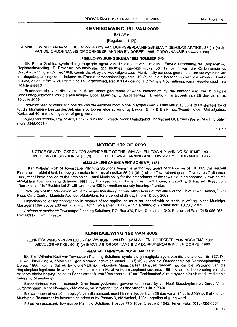## **KENNISGEWING 191 VAN 2009**

BYLAE 8

## [Regulasie 11 (2)]

KENNISGEWING VAN AANSOEK OM WYSIGING VAN DORPSBEPLANNINGSKEMA INGEVOLGE ARTIKEL 56 (1) (b) (i) VAN DIE ORDONNANSIE OP DORPSBEPLANNING EN DORPE, 1986 (ORDONNANSIE 15 VAN 1986)

### **ERMELO-WYSIGINGSKEMA 1982 NOMMER 546**

Ek, Pierre Grobler, synde die gemagtigde agent van die eienaar van Erf 3768, Ermelo Uitbreiding 14 Dorpsgebied, Registrasieafdeling IT, Provinsie Mpumalanga, gee hiermee ingevolge artikel 56 (1) (b) (i) van die Ordonnansie op Dorpsbeplanning en Dorpe, 1986, kennis dat ek by die Msukaligwa Local Municipality aansoek gedoen het om die wysiging van die dorpsbeplanningskema bekend as Ermelo-dorpsbeplanningskema, 1982, deur die hersonering van die eiendom hierbo beskryf, gelee te Erf 3768, Uitbreiding 14 Dorpsgebied, Registrasieafdeling IT, provinsie Mpumalanga, vanaf Residensieel 1 na Residensieel 3.

Besonderhede van die aansoek lê ter insae gedurende gewone kantoorure by die kantoor van die Munisipale Bestuurder/Sekretaris van die Msukaligwa Local Municipality, Burgersentrum, Ermelo, vir 'n tydperk van 28 dae vanaf die 10 Julie 2009.

Besware teen of vertoë ten opsigte van die aansoek moet binne 'n tydperk van 28 dae vanaf 10 Julie 2009 skriftelik by of tot die Munisipale Bestuurder/Sekretaris by bovermelde adres of by Bekker, Brink & Brink Ing., Tweede Vloer, Unitedgebou, Kerkstraat 60, Ermelo, ingedien of gerig word.

Adres van eienaar: P/a Bekker, Brink & Brink Ing., Tweede Vloer, Unitedgebou, Kerkstraat 60, Ermelo (Verw: Mnr P. Grobler/ mc/SIB245/0001.)

 $10 - 17$ 

## **NOTICE 192 OF 2009**

NOTICE OF APPLICATION FOR AMENDMENT OF THE eMALAHLENI TOWN-PLANNING SCHEME, 1991, IN TERMS OF SECTION 56 (1) (b) (i) OF THE TOWN-PLANNING AND TOWNSHIPS ORDINANCE, 1986

#### **eMALAHLENI AMENDMENT SCHEME, 1181**

I, Karl Wilhelm Rost of Townscape Planning Solutions being the authorised agent of the owner of Erf 837, Die Heuwel Extension 4, eMalahleni, hereby give notice in terms of section 56 (1) (b) (i) of the Town-planning and Townships Ordinance, 1986, that I have applied to the eMalahleni Local Municipality for the amendment of the town-planning scheme known as the eMalahleni Town-planning Scheme, 1991, by the rezoning of the erf described above, situated at 8 Rachel Street from "Residential 1" to "Residential 2" with annexure 429 for medium density housing (4 units).

Particulars of the application will lie for inspection during normal office hours at the office of the Chief Town Planner, Third Floor, Civic Centre, Mandela Avenue, eMalahleni, for a period of 28 days from 10 July 2009.

Objections to or representations in respect of the application must be lodged with or made in writing to the Municipal Manager at the above address or at P.O. Box 3, eMalahleni, 1035, within a period of 28 days from 10 July 2009.

Address of applicant: Townscape Planning Solutions, P.O. Box 375, River Crescent, 1042, Phone and Fax: (013) 656-0554. Ref: P09123 Prov Gazette. .**-.**

## **KENNISGEWING 192 VAN 2009**

KENNISGEWING VAN AANSOEK OM WYSIGING VAN DIE eMALAHLENI-DORPSBEPLANNINGSKEMA, 1991, INGEVOLGEARTIKEL56 (1) (b) (i) VAN DIE ORDONNANSIE OP DORPSBEPLANNING EN DORPE, 1986

## **eMALAHLENI-WYSIGINGSKEMA, 1181**

Ek, Karl Wilhelm Rost van Townscape Planning Solutions, synde die gemagtigde agent van die eienaar van Erf 837, Die Heuwel Uitbreiding 4, eMalahleni, gee hiermee ingevolge artikel 56 (1) (b) (i) van die Ordonnansie op Dorpsbeplanning en Dorpe, 1986, kennis dat ek by die eMalahleni Plaaslike Munisipaliteit aansoek gedoen het om die wysiging van die dorpsbeplanningskema in werking bekend as die eMalahleni-dorpsbeplanningskema, 1991, deur die hersonering van die eiendom hierbo beskryf, gelee te Rachelstraat 8, van "Residensieel 1" tot "Residensieel 2" met bylaag 429 vir medium digtheid behuising (4 eenhede).

Besonderhede van die aansoek lê ter insae gedurende gewone kantoorure by die Hoof Stadsbeplanner, Derde Vloer, Burgersentrum, Mandelarylaan, eMalahleni, vir 'n tydperk van 28 dae vanaf 10 Julie 2009.

Besware teen of vertoe ten opsigte van die aansoek moet binne 'n tydperk van 28 dae vanaf 10 Julie 2009 skriftelik tot die Munisipale Bestuurder by bovermelde adres of by Posbus 3, eMalahleni, 1035, ingedien of gerig word.

Adres van applikant: Townscape Planning Solutions, Posbus 375, River Crescent, 1042. Tel en Faks: (013) 656-0554.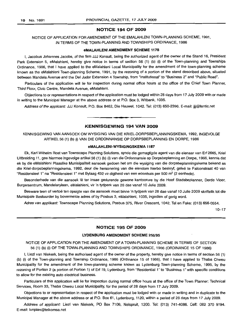## NOTICE 194 OF 2009

## NOTICE OF APPLICATION FOR AMENDMENT OF THE EMALAHLENI TOWN-PLANNING SCHEME, 1991, IN TERMS OF THE TOWN-PLANNING AND TOWNSHIPS ORDINANCE, 1986

#### eMALAHLENI AMENDMENT SCHEME 1178

I, Jacobus Johannes Jacobs, of the firm JJJ Konsult, being the authorized agent of the owner of the Stand 16, President Park Extension 5, eMalahleni, hereby give notice in terms of section 56 (1) (b) (i) of the Town-planning and Townships Ordinance, 1986, that I have applied to the eMalahleni Local Municipality for the amendment of the town-planning scheme known as the eMalahleni Town-planning Scheme, 1991, by the rezoning of a portion of the stand described above, situated between Mandela Avenue and the Del Judor Extension 4 Township, from "Institutional" to "Business 2" and "Public Road".

Particulars of the application will lie for inspection during normal office hours at the office of the Chief Town Planner, Third Floor, Civic Centre, Mandela Avenue, eMalahleni.

Objections to or representations in respect of the application must be lodged within 28 days from 17 JUly 2009 with or made in writing to the Municipal Manager at the above address or at P.O. Box 3, Witbank, 1035.

Address of the applicant: JJJ Konsult, P.O. Box 8462, Die Heuwel, 1042. Tel: (013) 650-2396. E-mail: jjj@lantic.net

**• •**

## KENNISGEWING 194 VAN 2009

KENNISGEWING VAN AANSOEK OM WYSIGING VAN DIE KRIEL-DORPSBEPLANNINGSKEMA, 1992, INGEVOLGE ARTIKEL56 (1) (b) (i) VAN DIE ORDONNANSIE OP DORPSBEPLANNING EN DORPE, 1986

#### eMALAHLENI-WYSIGINGSKEMA 1187

Ek, Karl Wilhelm Rost van Townscape Planning Solutions, synde die gemagtigde agent van die eienaar van Erf 2665, Kriel Uitbreiding 11, gee hiermee ingevolge artikel 56 (1) (b) (i) van die Ordonnansie op Dorpsbeplanning en Dorpe, 1986, kennis dat ek by die eMalahleni Plaaslike Munisipaliteit aansoek gedoen het om die wysiging van die dorpsbeplanningskema bekend as die Kriel-dorpsbeplanningskema, 1992, deur die hersonering van die eiendom hierbo beskryf, gelee te Falconstraat 40 van "Residensieel 1" na "Residensieel 1" met Bylaag 432 vir digtheid van een woonhuis per 500 m<sup>2</sup> (2 eenhede).

Besonderhede van die aansoek lê ter insae gedurende gewone kantoorure by die Hoof Stadsbeplanner, Derde Vloer, Burgersentrum, Mandelarylaan, eMalahleni, vir 'n tydperk van 28 dae vanaf 10 Julie 2009.

Besware teen of vertoë ten opsigte van die aansoek moet binne 'n tydperk van 28 dae vanaf 10 Julie 2009 skriftelik tot die Munisipale Bestuurder by bovermelde adres of by Posbus 3, eMalahleni, 1035, ingedien of gerig word.

Adres van applikant: Townscape Planning Solutions, Posbus 375, River Crescent, 1042. Tel en Faks: (013) 656-0554.

10-17

## NOTICE 195 OF 2009

### LYDENBURG AMENDMENT SCHEME 256/95

NOTICE OF APPLICATION FOR THE AMENDMENT OF A TOWN-PLANNING SCHEME IN TERMS OF SECTION 56 (1) (b) (i) OF THE TOWN-PLANNING AND TOWNSHIPS ORDINANCE, 1986 (ORDINANCE 15 OF 1986)

I, Liezl van Niekerk, being the authorised agent of the owner of the property, hereby give notice in terms of section 56 (1) (b) (i) of the Town-planning and Township Ordinance, 1986 (Ordinance 15 of 1986), that I have applied to Thaba Chweu Municipality for the amendment of the town-planning scheme known as Lydenburg Town-planning Scheme, 1995, by the rezoning of Portion 2 (a portion of Portion 1) of Erf 19, Lydenburg, from "Residential 1" to "Business 1" with specific conditions to allow for the existing auto electrical business.

Particulars of this application will lie for inspection during normal office hours at the office of the Town Planner: Technical Services, Room 33, Thaba Chweu Local Municipality, for the period of 28 days from 17 July 2009.

Objections to or representation in respect of the application must be lodged with or made in writing and in duplicate to the Municipal Manager at the above address or at P.O. Box 61, Lydenburg, 1120, within a period of 28 days from 17 July 2009.

Address of applicant: Liezl van Niekerk, PO Box 7106, Nelspruit, 1200. Tel: (013) 741-4086. Cell: 082 370 9194. E-mail: Ivnplan@telkomsa.net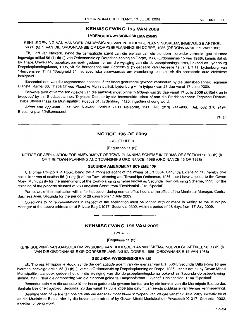## **KENNISGEWING 195 VAN 2009**

#### **LYDENBURG·wysIGINGsKEMA** 256/95

## KENNISGEWING VAN AANSOEK OM WYSIGING VAN 'N DORPSBEPLANNINGSKEMA INGEVOLGE ARTIKEL 56 (1) (b) (i) VAN DIE ORDONNANSIE OP DORPSBEPLANNING EN DORPE, 1986 (ORDONNANSIE 15 VAN 1986)

Ek, Liezl van Niekerk, synde die gemagtigde agent van die eienaar van die eiendom hieronder vermeld, gee hiermee ingevolge artikel 56 (1) (b) (i) van Ordonnansie op Dorpsbeplanning en Dorpe, 1986 (Ordonnansie 15 van 1986), kennis dat ek by Thaba Chweu Munisipaliteit aansoek gedoen het om die wysiging van die dorpsbeplanningskema, bekend as Lydenburg Dorpsbeplanningskema, 1995, vir die hersonering van Gedeelte 2 ('n gedeelte van Gedeelte 1) van Erf 19, Lydenburg, van "Residensieel 1" na "Besigheid 1" met spesifieke voorwaardes om voorsiening te maak vir die bestaande auto elektriese besigheid.

Besonderhede van die bogenoemde aansoek lê ter insae gedurende gewone kantoorure by die Stadsbeplanner: Tegniese Dienste, Kamer 33, Thaba Chweu Plaaslike Munisipaliteit: Lydenburg vir 'n tydperk van 28 dae vanaf 17 Julie 2009.

Besware teen of vertoë ten opsigte van die aansoek moet binne 'n tydperk van 28 dae vanaf 17 Julie 2009 skriftelik en in tweevoud by die Stadsbeplanner: Tegniese Dienste by die bovermelde adres of aan die Stadsbeplanner: Tegniese Dienste, Thaba Chweu Plaaslike Munisipaliteit, Posbus 61, Lydenburg, 1120, ingedien of gerig word.

Adres van applikant: Liezl van Niekerk, Posbus 7106, Nelspruit, 1200. Tel: (013) 741-4086. Sel: 082 370 9194. E-pos: Ivnplan@telkomsa.net

17-24

## **NOTICE 196 OF 2009**

SCHEDULE 8

[Regulation 11 (2)]

NOTICE OF APPLICATION FOR AMENDMENT OF TOWN-PLANNING SCHEME IN TERMS OF SECTION 56 (1) (b) (i) OF THE TOWN-PLANNING AND TOWNSHIPS ORDINANCE, 1986 (ORDINANCE 15 OF 1986)

#### SECUNDA AMENDMENT **SCHEME** 139

I, Thomas Philippus Ie Roux, being the authorised agent of the owner of Erf 5664, Secunda Extension 16, hereby give notice in terms of section 56 (1) (b) (i) of the Town-planning and Townships Ordinance, 1986, that I have applied to the Govan Mbeki Municipality for the amendment of the town-planning scheme known as Secunda Town-planning Scheme, 1993, for the rezoning of the property situated at 26 Langkloof Street from "Residential 1" to "Special".

Particulars of the application will lie for inspection during normal office hours at the office of the Municipal Manager, Central Business Area, Secunda for the period of 28 days from 17 July 2009.

Objections to or representations in respect of the application must be lodged with or made in writing to the Municipal Manager at the above address or at Private Bag X1017, Secunda, 2302, within a period of 28 days from 17 July 2009.

**• •**

## **KENNISGEWING 196 VAN 2009**

BYLAE 8

[Regulasie 11 (2)]

KENNISGEWING VAN AANSOEK OM WYSIGING VAN DORPSBEPLANNINGSKEMA INGEVOLGE ARTIKEL 56 (1) (b) (i) VAN DIE ORDONNANSIE OP DORPSBEPLANNING EN DORPE, 1986 (ORDONNANSIE 15 VAN 1986)

#### **sECUNDA·WYSIGINGSKEMA** 139

Ek, Thomas Philippus Ie Roux, synde die gemagtigde agent van die eienaar van Erf 5664, Secunda Uitbreiding 16 gee hiermee ingevolge artikel 56 (1) (b) (i) van die Ordonnansie op Dorpsbeplanning en Dorpe, 1986, kennis dat ek by Govan Mbeki Munisipaliteit aansoek gedoen het om die wysiging van die dorpsbeplanningskema bekend as Secunda-dorpsbeplanningskema, 1993, deur die hersonering van die eiendom gelee te Langkloofstraat 26 vanaf "Residensieel 1" na "Spesiaal".

Besonderhede van die aansoek lê ter insae gedurende gewone kantoorure by die kantoor van die Munisipale Bestuurder, Sentrale Besigheidsgebied, Secunda, 28 dae vanaf 17 Julie 2009 (die datum van eerste publikasie van hierdie kennisgewing).

Besware teen of vertoë ten opsigte van die aansoek moet binne 'n tydperk van 28 dae vanaf 17 Julie 2009 skriftelik by of tot die Munisipale Bestuurder by die bovermelde adres of by Govan Mbeki Munisipaliteit, Privaatsak X1017, Secunda, 2302, ingedien of gerig word.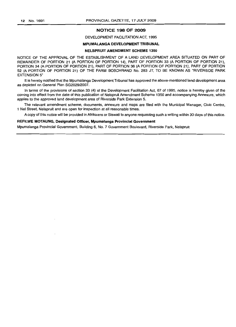## **NOTICE 198 OF 2009**

## DEVELOPMENT FACILITATION ACT, 1995

## MPUMALANGA DEVELOPMENT TRIBUNAL

## NELSPRUIT AMENDMENT SCHEME 1350

NOTICE OF THE APPROVAL OF THE ESTABLISHMENT OF A LAND DEVELOPMENT AREA SITUATED ON PART OF REMAINDER OF PORTION 21 (A PORTION OF PORTION 14), PART OF PORTION 33 (A PORTION OF PORTION 21), PORTION 34 (A PORTION OF PORTION 21), PART OF PORTION 36 (A PORTION OF PORTION 21), PART OF PORTION 52 (A PORTION OF PORTION 21) OF THE FARM BOSCHRAND No. 283 JT, TO BE KNOWN AS "RIVERSIDE PARK EXTENSION 5"

It is hereby notified that the Mpumalanga Development Tribunal has approved the above-mentioned land development area as depicted on General Plan SG2029/2007.

In terms of the provisions of section 33 (4) of the Development Facilitation Act, 67 of 1995, notice is hereby given of the coming into effect from the date of this publication of Nelspruit Amendment Scheme 1350 and accompanying Annexure, which applies to the approved land development area of Riverside Park Extension 5.

The relevant amendment scheme, documents, annexure and maps are filed with the Municipal Manager, Civic Centre, 1 Nel Street, Nelspruit and are open for inspection at all reasonable times.

A copy of this notice will be provided in Afrikaans or Siswati to anyone requesting such a writing within 30 days of this notice.

## REFILWE MOTAUNG, Designated Officer, Mpumalanga Provincial Government

Mpumalanga Provincial Government, Building 6, NO.7 Government Boulevard, Riverside Park, Nelspruit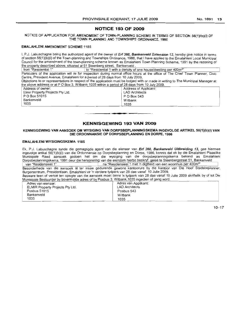## **NOTICE 193 OF 2009**

NOTICE OF APPLICATION FOR AMENDMENT OF TOWN-PLANNING SCHEME IN TERMS OF SECTION 56(1)(b)(i) OF THE TOWN PLANNING AND TOWNSHIPS ORDINANCE. 1986

#### EMALAHLENI AMENDMENT SCHEME 1185

I, P.J. Labuschagne being the authorized agent of the owner of Erf 360, Bankenveld Extension 13, hereby give notice in terms of section 56(1)(b)(i) of the Town-planning and Townships Ordinance, 1986, that I have applied to the Emalahleni Local Municipal Council for the amendment of the town-planning scheme known as Emalahleni Town Planning Scheme, 1991 by the rezoning of the property described above, situated at 51 Steenberg street, Bankenveld.<br>
from "Residential 1" | to "Residential 1 with a density of

 $\frac{1}{2}$  to "Residential 1 with a density of one house/dwelling per 400m<sup>2"</sup> Particulars of the application will lie for inspection during normal office hours at the office of The Chief Town Planner, Civic Centre, President Avenue, Emalahleni for a period of 28 days from 10 July 2009. Objections to or representations in respect of the application must be.lodged with or made in writing to The Municipal Manager at ent Town Planning Scheme, 1991 by the rezoning of<br>
one house/dwelling per 400m<sup>2"</sup><br>
urs at the office of The Chief Town Planner, Civic<br>
009.<br>
with or made in writing to The Municipal Manager at<br>
from 10 July 2009.<br>
of Appl

| the above address or at P O Box 3, Witbank 1035 within a period of 28 days from 10 July 2009.                                     |  |
|-----------------------------------------------------------------------------------------------------------------------------------|--|
| Objections to or representations in respect or the application must be lodged with or made in whiting to The Municipal Manager at |  |

| Address of owner:                | Address of Applicant: |
|----------------------------------|-----------------------|
| Elmir Property Projects Pty Ltd. | LAD Architects        |
| P O Box 51015                    | P O Box 543           |
| Bankenveld                       | Witbank               |
| 1035                             | 1035                  |

## **KENNISGEWING 193 VAN 2009**

**• •**

KENNISGEWING VAN AANSOEK OM WYSIGING VAN DORPSBEPLANNINGSKEMA INGEVOLGE ARTIKEL 56(1)(b)(i) VAN DIE ORDONNANSIE OP DORPSBEPLANNING EN DORPE, 1986

#### EMALAHLENI WYSIGINGSKEMA 1185

Ek, P.J. Labuschagne synde die gemagtigde agent van die eienaar van Erf 360, Bankenveld Uitbreiding 13, gee hiermee ingevolge artikel 56(1)(b)(i) van die Ordonnansie op Dorpsbeplanning en Dorpe, 1986, kennis dat ek by die Emalahleni Plaaslike Munisipale Raad aansoek gedoen het om die wysiging van die dorpsbeplanningskema bekend as Emalahleni Dorpsbeplanningskema, 1991 deur die hersonering van die eiendom hierbo beskryf, geleë te Steenbergstraat 51, Bankenveld van "Residensieel 1" na "Residensieel 1 met 'n digtheid van een woonhuis per 400m<sup>2</sup>"

wan Residensieel 1 van die aansoek Ie ter insae gedurende gewone kantoorure by die kantoor van Die Hoof Stadsbeplanner,<br>Besonderhede van die aansoek Ie ter insae gedurende gewone kantoorure by die kantoor van Die Hoof Stad Burgersentrum, Presidentlaan, Emalahleni vir 'n verdere tydperk van 28 dae vanaf 10 Julie 2009.

Besware teen of vertoe ten opsigte van die aansoek moet binne 'n tydperk van 28 dae vanaf 10 Julie 2009 skriftelik by of tot Die Munisioale Bestuurder bv bovermelde adres of bv Posbus 3, Witbank, 1035 ingedien of gerig word.

| Adres van eienaar:               | Adres van Applikant: |
|----------------------------------|----------------------|
| ELMIR Property Projects Pty Ltd. | LAD Architects       |
| Posbus 51015                     | Posbus 543           |
| Bankenveld                       | Witbank              |
| 1035                             | 1035                 |

 $10 - 17$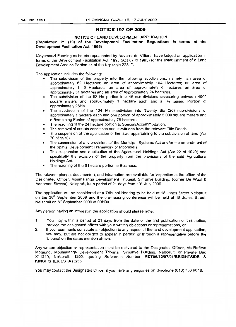## NOTICE 197 OF 2009

## NOTICE OF LAND DEVELOPMENT APPLICATION

(Regulation 21 (10) of the Deveiopment Facilitation Regulations in terms of the Development Facilitation Act, 1995)

Moyamanzi Farming cc herein represented by Navarre de Villiers, have lodged an application in terms of the Development Facilitation Act, 1995 (Act 67 of 1995) for the establishment of a Land Development Area on Portion 44 of the Klipkopje 228JT.

The application includes the following:

- The subdivision of the property into the following subdivisions, namely an area of approximately 62 Hectares; an area of approximately 104 Hectares; an area of approximately 1, 5 Hectares: an area of approximately 6 hectares an area of approximately 51 hectares and an area of approximately 24 hectares.
- The subdivision of the 62 Ha portion into 46 sub-divisions measuring between 4500 square meters and approximately 1 hectare each and a Remaining Portion of approximately 26Ha.
- The subdivision of the 104 Ha subdivision into Twenty Six (26) sub-divisions of approximately 1 hectare each and one portion of approximately 5 000 square meters and a Remaining Portion of approximately 78 hectares.
- The rezoning of the 24 hectare portion to Special/Accommodation.
- The removal of certain conditions and servitudes from the relevant Title Deeds.
- The suspension of the application of the laws appertaining to the subdivision of land (Act 70 of 1970).
- The suspension of any provisions of the Municipal Systems Act and/or the amendment of the Spatial Development Framework of Mbombela.
- The suspension and application of the Agricultural Holdings Act (Act 22 of 1919) and specifically the excision of the property from the provisions of the said Agricultural Holdings Act.
- The rezoning of the 6 hectare portion to Business.

The relevant plan(s), document(s), and information are available for inspection at the office of the Designated Officer, Mpumalanga Development Tribunal, Simunye Building, (corner De Waal & Anderson Streets), Nelspruit, for a period of 21 days from 10<sup>th</sup> July 2009.

The application will be considered at a Tribunal Hearing to be held at 18 Jones Street Nelspruit on the 30<sup>th</sup> September 2009 and the pre-hearing conference will be held at 18 Jones Street, Nelspruit on 8<sup>th</sup> September 2009 at 09H00.

Any person having an interest in the application should please note:

- 1 You may within a period of 21 days from the date of the first publication of this notice, provide the designated officer with your written objections or representations, or
- 2. If your comments constitute an objection to any aspect of the land development application, you may, but are not obliged to appear in person or through a representative before the Tribunal on the dates mention above.

Any written objection or representation must be delivered to the Designated Officer, Ms Refilwe Motaung, Mpumalanga Development Tribunal, Simunye Building, Nelspruit, or Private Bag X11219, Nelspruit, 1200, quoting Reference Number MDT06/12/07/01/BRIGHTSIDE & KINGFISHER ESTATE/55

You may contact the Designated Officer if you have any enquiries on telephone (013) 756 9018.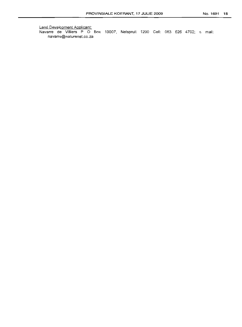Land Development Applicant: Navarre de Villiers P O Box 10007, Nelspruit 1200 Cell: 083 626 4702; e mail: navarre@naturenet.co.za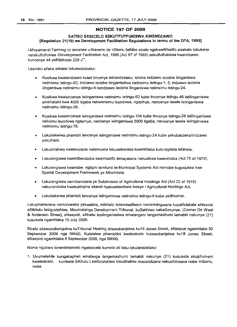# **NOTICE 197 OF 2009**

## SATISO SESICELO SEKUTFUTFUKISWA KWENDZAWO [Regulation 21(10) we Development Facilitation Regulations in terms of the DFA, 1995]

i-Moyamanzi Farming cc lemelwe u-Navarre de Villiers, bafake sicelo ngekweMtsetfo sisekelo lobukene netekutfutfukisa -Development Facilitation Act. 1995 (Act 67 of 1995) sekutfutfukiswa kwendzawo kuncenye 44 yeKlipkopje 228 J'.

Lesicelo sifaka ekhatsi lekulandzelako:

- Kusikwa kwalendzawo kuleti tincenye letilandzelako. letoba indzawo lecishe ilinganiswa netinsimu letingu-62; indzawo lecishe ilinganiselwa netinsimu letingu-1, 5; indzawo lecishe ilinganiswa netinsimu letingu-6 nendzawo lecishe ilinganiswa netinsimu letingu-24.
- Kusikwa kwalencenye lelinganiswa netinsimu letingu-62 kube tincenye letingu-46 letilinganiswa emkhatsini kwa 4500 tigaba nekwensimu leyodvwa. ngayinye. nencenye lesele lelinganiswa netinsimu letingu-26.
- Kusikwa kwalencenye lelinganiswa netinsimu letingu-104 kube tincenye letingu-26 letilingańiswa nelisimu leyodvwa ngayinye. nencenye lelinganiswa 5000 tigaba. nencenye lesele lelinganiswa netinsimu letingu-78.
- Lokubekelwa phambili lencenye lelinganiswa netinsimu letingu-24 kube yekubaluleka/indzawo yokuhlala.
- Lokukhishwa kwetimotsite netimvume tekusebentisa kwemhlaba kule-tayitela lefanele.
- Lokulengiswa kwemibandzela kwemtsetfo lemayelana nekusikwa kwemhlaba (Act 70 of 1970).
- Lokulengiswa kwanobe ngitiphi temfuno te-Municipal Systems Act ne/nobe kuguqulwa kwe Spatial Development Framework ye Mbombela.
- Lokulengiswa nemibandzela ye Subdivision of Agricultural Holdings Act (Act 22 of 1919) nekucondzisa kwekukhipha sitandi ngakwetemfuno kwayo i Agricultural Holdings Act.
- Lokubekelwa phambili lencenye lelinganiswa netinsimu letingu-6 kube yeBhizinisi.

Lokuphatselene nemidvwebo yekwakha, mibhalo lesemtsetfweni nemininingwane kuyatfolakala eHhovisi eSikhulu lesigcotshiwe, Mpumalanga Development Tribunal, kuSakhiwo sakaSimunye, (Corner De Waal & Anderson Street). eNaspoti, sikhatsi lesilinganiselwa emalangeni langemashumi lamabili nakunye (21) kusukela ngamhlaka 10 July 2009.

Sicelo sitawucubungulwa kuTribunal Hearing letawubanjelwa ku18 Jones Street, eNaspoti ngamhlaka 30 September 2009 nga 09hOO, Kulalelwa phambilini kwalesicelo kutawubanjelwa ku18 Jones Street, eNaspoti ngamhlaka 8 September 2009, nga 09hOO.

Noma ngubani lonenshisekelo ngalesicelo kumele ati loku lokulandzelako:

1. Uvumelekile kungakapheli emalanga langemashumi lamabili nakunye (21) kusukela ekuphumeni kwalesicelo, kuniketa SiKhulu LesiGcotshiwe lokubhaliwe macondzana nekuphikisana nobe mibono, nobe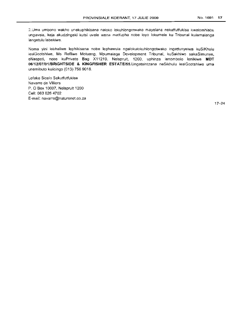2.Uma umbono wakho unekuphikisana naioko lokuhlonpotwako mayelana nekutfutfukisa kwalomhlabc. ungavela, keja akudzingeki kutsi uvele wena matfupha nobe loyo lokumele ku Tribunal kulamalanga langetulu labekiwe.

Noma yini lebhaliwe lephikisana nobe lephawula ngalokulokuhlongotwako ingatfunyelwa kuSiKhulu lesiGeotshiwe, Ms Refilwe Motuang, Mpumalaga Development Tribunal, kuSakhiwo sakaSimunye, eNaspoti, nobe kuPrivate Bag X11219, Nelspruit, 1200, uphinze lenombolo lenikiwe **MDT 06/12/07/01lBRIGHTSIDE & KINGFISHER** ESTATE/55.Ungatsintzana neSikhulu lesiGcotshiwe uma unemibuto kulieingo (013) 756 9018.

Lofake Sicelo Sekutfutfukisa Navarre de Villiers P. 0 Box 10007, Nelspruit 1200 Cell: 083 6264702 E-mail: navarre@naturenet.eo.za

17-24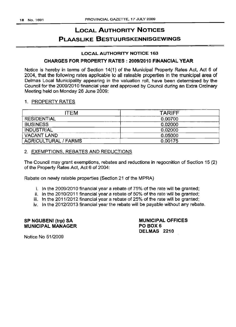# LOCAL AUTHORITY NOTICES PLAASLIKE BESTUURSKENNISGEWINGS

## LOCAL AUTHORITY NOTICE 163

## CHARGES FOR PROPERTY RATES: 2009/2010 FINANCIAL YEAR

Notice is hereby in terms of Section 14(1) of the Municipal Property Rates Act, Act 6 of 2004, that the following rates applicable to all rateable properties in the municipal area of Delmas Local Municipality appearing in the valuation roll, have been determined by the Council for the 2009/2010 financial year and approved by Council during an Extra Ordinary Meeting held on Monday 26 June 2009:

## 1. PROPERTY RATES

| <b>ITEM</b>                 | <b>TARIFF</b> |
|-----------------------------|---------------|
| <b>RESIDENTIAL</b>          | 0.00700       |
| <b>BUSINESS</b>             | 0.02000       |
| INDUSTRIAL                  | 0.02000       |
| <b>VACANT LAND</b>          | 0.05000       |
| <b>AGRICULTURAL / FARMS</b> | 0.00175       |

## 2. EXEMPTIONS, REBATES AND REDUCTIONS

The Council may grant exemptions, rebates and reductions in regocnition of Section 15 (2) of the Property Rates Act, Act 6 of 2004:

Rebate on newly rateble properties (Section 21 of the MPRA)

- i. In the 2009/2010 financial year a rebate of 75% of the rate will be granted;
- ii. In the 2010/2011 financial year a rebate of 50% of the rate will be granted;
- iii. In the 2011/2012 financial year a rebate of 25% of the rate will be granted;
- iv. In the 2012/2013 financial year the rebate will be payable without any rebate.

SP NGUBENI (trp) SA MUNICIPAL MANAGER

MUNICIPAL OFFICES PO BOX 6 DELMAS 2210

Notice No 51/2009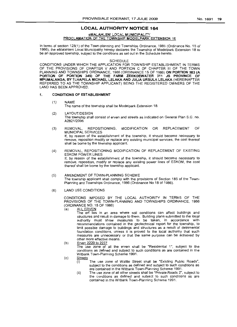## **LOCAL AUTHORITY NOTICE 164**

#### eMALAHLENI LOCAL MUNICIPAUTY

## PROCLAMATION OF THE TOWNSHIP MODELPARK EXTENSION 18

In terms of section 125(1) of the Town-planning and Townships Ordinance, 1986 (Ordinance No. 15 of 1986), the eMalahleni Local Municipality hereby declares the Township of Modelpark Extension 18 to be an approved township, subject to the conditions as set out in the Schedule hereto.

#### SCHEDULE

CONDITIONS UNDER WHICH THE APPLICATION FOR TOWNSHIP ESTABLISHMENT IN TERMS OF THE PROVISIONS OF CHAPTER V AND PORTION C OF CHAPTER III OF THE TOWN PLANNING AND TOWNSHIPS ORDINANCE, 1986 (ORDINANCE 15 OF 1986) ON PORTION 383 (A PORTION OF PORTION 345) OF THE FARM ZEEKOEWATER 311 JS PROVINCE OF MPUMALANGA, BY TLHAPELA MICHAEL LELAKA AND JULIA URSULA LELAKA (HEREINAFTER REFERRED TO AS THE TOWNSHIP APPLICANT) BEING THE REGISTERED OWNERS OF THE LAND HAS BEEN APPROVED.

#### 1. CONDITIONS OF ESTABLISHMENT

#### (1) NAME

The name of the township shall be Modelpark Extension 18.

- (2) LAYOUTIDESIGN The township shall consist of erven and streets as indicated on General Plan S.G. no. A2821/2006
- (3) REMOVAL, REPOSITIONING, MODIFICATION OR REPLACEMENT OF MUNICIPAL SERVICES If, by reason of the establishment of the township, it should become necessary to

remove, reposition modify or replace any existing municipal services, the cost thereof shall be borne by the township applicant.

- (4) REMOVAL, REPOSITIONING MODIFICATION OF REPLACEMENT OF EXISTING ESKOM POWER LINES If, by reason of the establishment of the township, it should become necessary to remove, reposition, modify or replace any existing power lines of ESKOM, the cost thereof shall be borne by the township applicant.
- (5) AMENDMENT OF TOWN-PLANNING SCHEME The township applicant shall comply with the provisions of Section 185 of the Town-Planning and Townships Ordinance, 1986 (Ordinance No 18 of 1986).
- (6) LAND USE CONDITIONS

CONDITIONS IMPOSED BY THE LOCAL AUTHORITY IN TERMS OF THE PROVISIONS OF THE TOWN-PLANNING AND TOWNSHIPS ORDINANCE, 1986 (ORDINANCE NO. 15 OF 1986)

(a) <u>ALL ERVEN</u>

The erf lies in an area where soil conditions can affect buildings and structures and result in damage to them. Building plans submitted to the local authority must show measures to be taken, in accordance with recommendations contained in the geotechnical report for the township, to limit possible damage to buildings and structures as a result of detrimental foundation conditions, unless it is proved to the local authority that such measures are unnecessary or that the same purpose can be achieved by other more effective means.

(b) Erven 2220 to 2237

The use zone of all the erven shall be "Residential 1", subject to the conditions as defined and subject to such conditions as are contained in the Witbank Town-Planning Scheme 1991.

- (c) **Streets** 
	- $\overline{(\mathfrak{i})}$  The use zone of Wattle Street shall be "Existing Public Roads", subject to the conditions as defined and subject to such conditions as are contained in the Witbank Town-Planning Scheme 1991.
	- (ii) The use zone of all other streets shall be "Private Roads 2", subject to the conditions as defined and subject to such conditions as are contained in the Witbank Town-Planning Scheme 1991.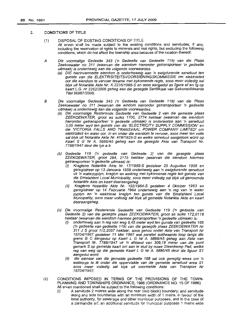## 2. CONDITIONS OF TITLE

- (1) DISPOSAL OF EXISTING CONDITIONS OF TITLE All erven shall be made subject to the existing conditions and servitudes, if any, including the reservation of rights to minerals and real rights, but excluding the following conditions, which do not affect the township area because of the location thereof:
- A Die voormalige Gedeelte 343 ('n Gedeelte van Gedeelte 119) van die Plaas Zeekoewater no 311 (waarvan die eiendom hieronder getransporteer \n gedeelte uitmaak) is onderhewig aan die volgende voorwaardes.
	- (a) DIE hierinvermelde eiendom is onderheweig aan 'n ewigdurende serwituut ten gunste van die ELEKTRISITEITSVOORSIENINGSKOMMISSIE om elektrisiteit oor die eiendom te vervoer tesame met bykomende regte, soos meer volle dig sal blyk uit Noteriete Akte Nr. K.2235/1985-S en soos aangedui as figure ef en fg op kaart L.G. nr 226212005 geheg aan die gesegde Sertifikaat van Gekonsolideerde TiteI98987/2005.
- B Die voormalige Gedeelte 343 ('n Gedeelte van Gedeelte 119) van die Plaas Zeekoewater no 311 (waarvan die eindom hieronder getransporteer 'n gedeelte uitmaak) is onderhewig aan die volgende voorwaardes.
	- (a) Die voormalige Resterende Gedeelte van Gedeelte 2 van die gemelde plaas ZEEKOEWATER, groot as sulks 1706, 2774 hektaar (waarvan die eiendom hieronder getransporteer 'n gedeelte uitmaak) is onderworpe aan 'n serwituut 3,05 meter wyd ten gunste van die 'ELECTRICITY SUPPLY COMMISSION' en die 'VICTORIA FALLS AND TRANSVAAL POWER COMPANY LIMITED' om elektrisiteit en water oor, in en onder die eiendom te vervoer, soos meer ten volle sal blyk uit Notariële Akte Nr. 419/1925-S en welke serwituut aangetoon word op Kaart S G Nr *A.* 5886/45 geheg aan die gesegde Akte van Transport Nr. 7788/1947 deur die Iyn a b
	- (b) Gedeelte 119 ('n gedeelte van Gedeelte 2) van die gesegde plaas ZEEKOEWATER, groot 284, 2175 hektaar (waarvan die eiendom hiermee getransporteer 'n gedeelte uitmaak) is:
		- (i) Kreqtens Notariele Akte Nr. 17/1959-S gedateer 25 Augustus 1958 en geregistreer op 13 Januarie 1959 onderhewig aan 'n ewigdurende serwituut vir 'n waterpyplyn, kraglyn en weëreg met bykomende regte ten gunste van die Emalahleni Local Municipality, soos meer volledig sal blyk ult genoemde Noteriele Akte en kaart daaraangeheg.
		- (ii) Kragtens Notariële Akte Nr. 192/1964-S gedateer 4 Oktober 1963 en geregistreer op 14 Februarie 1964 onderhewig aan 'n reg van 'n water pyplyn en 'n elektriese kraglyn ten gunste van die Emalahleni Local Muncipality, soos meer volledig sal blyk uit gemelde Notariële Akte en kaart daaraangeheg.
	- (c) Die voormalige Resterende Gedeelte van Gedeelte 119 ('n gedeelte van Gedeelte 2) van die gesegde plaas ZEEKOEWATER, groot as sulks 172,0118 hektaar (waarvan die eiendom hiermee getransporteer 'n gedeelte uitmaak) is:
		- (i) onderhewig aan 'n reg van weg 9,45 meter wyd ten gunste van gedeelte 168 ('n gedeelte van gedeelte 119) van die gesegde plaas ZEEKOEWATER Nr 311 J S groot 112,2057 hektaar, soos gehou onder Akte van Transport Nr 15704/1967 gedateer 11 Mei 1967 wat parallel suidwaards loop langs die grens B C aangedui op Kaart L G Nr *A.* 5886/45 geheg aan Akte van Transport Nr. 7788/1947 vir 'n afstand van 309,19 meter van die punt gemerk S op gemelde kaart om aan te sluit by nuwe Steenkamp Pad, welke reg van weg op die gemelde Kaart L G Nr *A.* 5886/45 deur die figuur S1 aangedui word.
		- (ii) die eienaar van die gemelde gedeelte 168 sal ook geregtig wees om 'n waterpyp te Iê onder die oppervlakte van die gemelde serwituut area S1 soos meer volledig sal blyk uit voormelde Akte van Transport Nr 15704/1967.
- (2) CONDITIONS IMPOSED IN TERMS OF THE PROVISIONS OF THE TOWN-PLANNING AND TOWNSHIPS ORDINANCE, 1986 (ORDINANCE NO. 15 OF 1986) All erven mentioned shall be subject to the following conditions:
	- (i) A servitude 2 metres wide along the rear (mid block) boundary; and servitude along any side boundaries with an minimum width of 1 metre, in favour of the local authority, for sewerage and other municipal purposes, and in the case of a panhandle erf, an additional servitude for municipal purposes 1 metre wide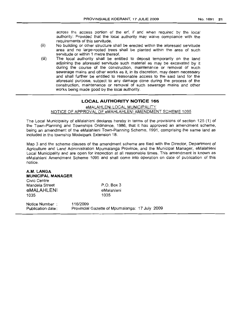across the access portion of the erf, if and when required by the local authority: Provided that the local authority may waive compliance with the requirements of this servitude.

- (ii) No building or other structure shall be erected within the aforesaid servitude area and no large-rooted trees shall be planted within the area of such servitude or within 1 metre thereof.
- (iii) The local authority shall be entitled to deposit temporarily on the land adjoining the aforesaid servitude such material as may be excavated by it during the course of the construction, maintenance or removal of such sewerage mains and other works as it, in its discretion, may deem necessary and shall further be entitled to reasonable access to the said land for the aforesaid purpose, subject to any damage done during the process of the construction, maintenance or removal of such sewerage mains and other works being made good by the local authority.

## **LOCAL AUTHORITY NOTICE 165**

## eMALAHLENI LOCAL MUNICIPALITY NOTICE OF APPROVAL OF eMAHLAHLENI AMENDMENT SCHEME 1095

The Local Municipality of eMalahleni declares hereby in terms of the provisions of section 125 (1) of the Town-Planning and Townships Ordinance, 1986, that it has approved an amendment scheme, being an amendment of the eMalahleni Town-Planning Scheme, 1991, comprising the same land as included in the township Modelpark Extension 18.

Map 3 and the scheme clauses of the amendment scheme are filed with the Director, Department of Agriculture and Land Administration Mpumalanga Province, and the Municipal Manager, eMalahleni Local Municipality and are open for inspection at all reasonable times. This amendment is known as eMalahleni Amendment Scheme 1095 and shall come into operation on date of publication of this notice.

| A.M. LANGA<br><b>MUNICIPAL MANAGER</b><br>Civic Centre |                                                            |  |
|--------------------------------------------------------|------------------------------------------------------------|--|
| Mandela Street                                         | $P.O.$ Box 3                                               |  |
| eMALAHLENI                                             | eMalahleni                                                 |  |
| 1035                                                   | 1035                                                       |  |
| Notice Number:<br>Publication date:                    | 116/2009<br>Provincial Gazette of Mpumalanga: 17 July 2009 |  |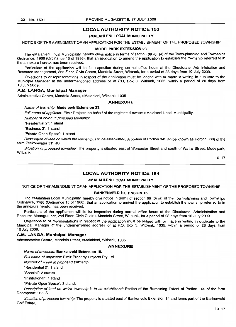## LOCAL AUTHORITY NOTICE 153

## eMALAHLENI LOCAL MUNICIPALITY

NOTICE OF THE AMENDMENT OF AN APPLICATION FOR THE ESTABLISHMENT OF THE PROPOSED TOWNSHIP

#### MODELPARK EXTENSION 23

The eMalahleni Local Municipality, hereby gives notice in terms of section 69 (6) (a) of the Town-planning and Townships Ordinance, 1986 (Ordinance 15 of 1986), that an application to amend the application to establish the township referred to in the annexure hereto, has been received.

Particulars of the application will lie for inspection during normal office hours at the Directorate: Administration and Resource Management, 2nd Floor, Civic Centre, Mandela Street, Witbank, for a period of 28 days from 10 July 2009.

Objections to or representations in respect of the application must be lodged with or made in writing in duplicate to the Municipal Manager at the undermentioned address or at P.O. Box 3, Witbank, 1035, within a period of 28 days from 10 July 2009.

## A.M. LANGA, Municipal Manager

Administrative Centre, Mandela Street, eMalahleni, Witbank, 1035

## ANNEXURE

#### Name of township: Modelpark Extension 23.

Full name of applicant: Elmir Projects on behalf of the registered owner: eMalahleni Local Municipality.

Number of erven in proposed township:

"Residential 2": 1 stand

"Business 3": 1 stand.

"Private Open Space": 1 stand.

Description ofland on which the township is to be established: A portion of Portion 345 (to be known as Portion 388) of the farm Zeekoewater 311 JS.

Situation of proposed township: The property is situated east of Worcester Street and south of Wattle Street, Modelpark, Witbank.

10-17

## LOCAL AUTHORITY NOTICE 154

## eMALAHLENI LOCAL MUNICIPALITY

NOTICE OF THE AMENDMENT OF AN APPLICATION FOR THE ESTABLISHMENT OF THE PROPOSED TOWNSHIP

### BANKENVELD EXTENSION 15

The eMalahleni Local Municipality, hereby give notice in terms of section 69 (6) (a) of the Town-planning and Townships Ordinance, 1986 (Ordinance 15 of 1986), that an application to amend the application to establish the township referred to in the annexure hereto, has been received.

Particulars of the application will lie for inspection during normal office hours at the Directorate: Administration and Resource Management, 2nd Floor, Civic Centre, Mandela Street, Witbank, for a period of 28 days from 10 July *2009.*

Objections to or representations in respect of the application must be lodged with or made in writing in duplicate to the Municipal Manager at the undermentioned address or at P.O. Box 3, Witbank, 1035, within a period of 28 days from 10 JUly *2009.*

#### A.M. LANGA, Municipal Manager

Administrative Centre, Mandela Street, eMalahleni, Witbank, 1035

#### ANNEXURE

Name of township: Bankenveld Extension 15.

Full name of applicant: Elmir Property Projects Pty Ltd.

Number of erven in proposed township:

"Residential 2": 1 stand

"Special": 2 stands

"Institutional": 1 stand

"Private Open Space": 3 stands

Description of land on which township is to be established: Portion of the Remaining Extent of Portion 169 of the farm Doornpoort 312 JS.

Situation of proposed township: The property is situated east of Bankenveld Extension 14 and forms part of the Bankenveld Golf Estate.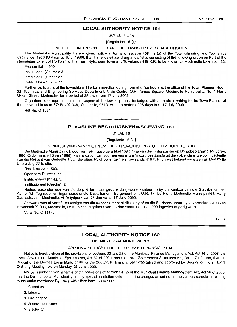## **LOCAL AUTHORITY NOTICE 161**

SCHEDULE 16

[Regulation 16 (1)]

## NOTICE OF INTENTION TO ESTABLISH TOWNSHIP BY LOCAL AUTHORITY

The Modimolle Municipality, hereby gives notice in terms of section 108 (1) (a) of the Town-planning and Townships Ordinance, 1986 (Ordinance 15 of 1986), that it intends establishing a township consisting of the following erven on Part of the Remaining Extent of Portion 1 of the Farm Nylstroom Town and Townlands 419 K.R. to be known as Modimolle Extension 33:

Residential 1: 500.

Institutional (Church): 3.

Institutional (Creché): 2.

Public Open Space: 11.

Further particulars of the township will lie for inspection during normal office hours at the office of the Town Planner, Room 32, Technical and Engineering Services Department, Civic Centre, O.R. Tambo Square, Modimolle Municipality, No.1 Harry Gwala Street, Modimolle, for a period of 28 days from 17 July 2009.

Objections to or representations in respect of the township must be lodged with or made in writing to the Town Planner at the above address or PO Box X1008, Modimolle, 0510, within a period of 28 days from 17 July 2009.

Ref No. 0 1564.

## **PLAASLIKE BESTUURSKENNISGEWING 161**

**• •**

BYLAE 16

[Regulasie 16 (1)]

#### KENNISGEWING VAN VOORNEME DEUR PLAASLIKE BESTUUR OM DORP TE STIG

Die Modimolle Munisipaliteit, gee hiermee ingevolge artikel 108 (1) (a) van die Ordonnansie op Dorpsbeplanning en Dorpe, 1986 (Ordonnansie 15 van 1986), kennis dat dit van voornemens is om 'n dorp bestaande uit die volgende erwe op 'n gedeelte van die Restant van Gedeelte 1 van die plaas Nylstroom Town en Townlands 419 K.R. en wat bekend sal staan as Modimolle Uitbreiding 33 te stig:

Residensieel 1: 500.

Openbare Ruimtes: 11.

Institusioneel (Kerk): 3.

Institusioneel (Creché): 2.

Nadere besonderhede van die dorp lê ter insae gedurende gewone kantoorure by die kantoor van die Stadsbeplanner, Kamer 32, Tegniese- en Ingenieursdienste Departement, Burgersentrum, O.R. Tambo Plein, Modimolle Munisipaliteit, Harry Gwalastraat 1, Modimolle, vir 'n tydperk van 28 dae vanaf 17 Julie 2009.

Besware teen of vertoë ten opsigte van die aansoek moet skriftelik by of tot die Stadsbeplanner by bovermelde adres van Privaatsak X1008, Modimolle, 0510, binne 'n tydperk van 28 dae vanaf 17 Julie 2009 ingedien of gerig word.

Verw No. 0 1564.

17-24

#### **LOCAL AUTHORITY NOTICE 162**

#### **DELMAS LOCAL MUNICIPALITY**

## APPROVAL: BUDGET FOR THE 2009/2010 FINANCIAL YEAR

Notice is hereby given of the provisions of sections 22 and 23 of the Municipal Finance Management Act, Act 56 of 2003, the Local Government Municipal Systems Act, Act 32 of 2000, and the Local Government Structures Act, Act 117 of 1998, that the Budget of the Delmas Local Municipality for the 2009/2010 financial year was tabled and approved by Council during an Extra Ordinary Meeting held on Monday, 26 June 2009.

Notice is further given in terms of the provisions of section 24 (2) of the Municipal Finance Management Act, Act 56 of 2003, that the Delmas Local Municipality has by special resolution determined the charges as set out in the various schedules relating to the under mentioned By-Laws with effect from 1 July 2009:

- 1. Cemetary.
- 2. Library.
- 3. Fire brigade.
- 4. Assessment rates.
- 5. Electricity.